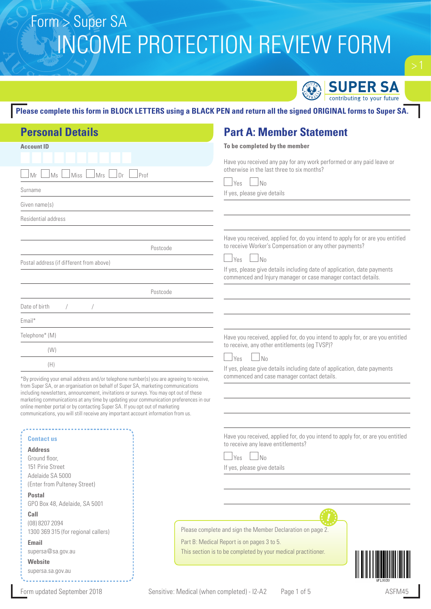

> 1

**Please complete this form in BLOCK LETTERS using a BLACK PEN and return all the signed ORIGINAL forms to Super SA.**

| <b>Personal Details</b>                                                                                                                                                    | <b>Part A: Member Statement</b>                                                                                                           |
|----------------------------------------------------------------------------------------------------------------------------------------------------------------------------|-------------------------------------------------------------------------------------------------------------------------------------------|
| <b>Account ID</b>                                                                                                                                                          | To be completed by the member                                                                                                             |
|                                                                                                                                                                            | Have you received any pay for any work performed or any paid leave or                                                                     |
| Miss<br>Mrs<br> Dr <br>Prof<br>⊿Ms<br>Mr                                                                                                                                   | otherwise in the last three to six months?                                                                                                |
| Surname                                                                                                                                                                    | Yes<br>$\blacksquare$ No                                                                                                                  |
| Given name(s)                                                                                                                                                              | If yes, please give details                                                                                                               |
| Residential address                                                                                                                                                        |                                                                                                                                           |
|                                                                                                                                                                            |                                                                                                                                           |
| Postcode                                                                                                                                                                   | Have you received, applied for, do you intend to apply for or are you entitled<br>to receive Worker's Compensation or any other payments? |
| Postal address (if different from above)                                                                                                                                   | $\Box$ No<br>⊥Yes                                                                                                                         |
|                                                                                                                                                                            | If yes, please give details including date of application, date payments<br>commenced and lnjury manager or case manager contact details. |
| Postcode                                                                                                                                                                   |                                                                                                                                           |
| Date of birth                                                                                                                                                              |                                                                                                                                           |
| Email*                                                                                                                                                                     |                                                                                                                                           |
| Telephone* (M)                                                                                                                                                             | Have you received, applied for, do you intend to apply for, or are you entitled                                                           |
| (W)                                                                                                                                                                        | to receive, any other entitlements (eg TVSP)?                                                                                             |
| (H)                                                                                                                                                                        | $\Box$ No<br><u>Ves</u><br>If yes, please give details including date of application, date payments                                       |
| *By providing your email address and/or telephone number(s) you are agreeing to receive,                                                                                   | commenced and case manager contact details.                                                                                               |
| from Super SA, or an organisation on behalf of Super SA, marketing communications<br>including newsletters, announcement, invitations or surveys. You may opt out of these |                                                                                                                                           |
| marketing communications at any time by updating your communication preferences in our<br>online member portal or by contacting Super SA. If you opt out of marketing      |                                                                                                                                           |
| communications, you will still receive any important account information from us.                                                                                          |                                                                                                                                           |
|                                                                                                                                                                            | Have you received, applied for, do you intend to apply for, or are you entitled                                                           |
| <b>Contact us</b><br><b>Address</b>                                                                                                                                        | to receive any leave entitlements?                                                                                                        |
| Ground floor,                                                                                                                                                              | ∫No<br>Yes                                                                                                                                |
| 151 Pirie Street                                                                                                                                                           | If yes, please give details                                                                                                               |
| Adelaide SA 5000                                                                                                                                                           |                                                                                                                                           |
| (Enter from Pulteney Street)                                                                                                                                               |                                                                                                                                           |
| <b>Postal</b>                                                                                                                                                              |                                                                                                                                           |
| GPO Box 48, Adelaide, SA 5001                                                                                                                                              |                                                                                                                                           |
| Call                                                                                                                                                                       |                                                                                                                                           |
| (08) 8207 2094<br>1300 369 315 (for regional callers)                                                                                                                      | Please complete and sign the Member Declaration on page 2.                                                                                |
| <b>Email</b>                                                                                                                                                               | Part B: Medical Report is on pages 3 to 5.                                                                                                |
| supersa@sa.gov.au                                                                                                                                                          | This section is to be completed by your medical practitioner.                                                                             |
| Website                                                                                                                                                                    |                                                                                                                                           |
| supersa.sa.gov.au                                                                                                                                                          |                                                                                                                                           |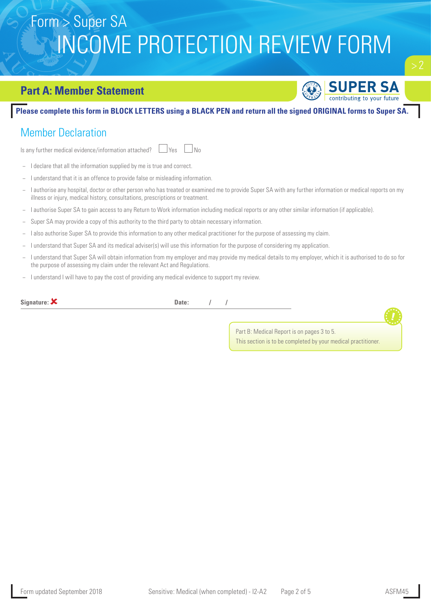### **Part A: Member Statement**



 $\Gamma$ 

#### **Please complete this form in BLOCK LETTERS using a BLACK PEN and return all the signed ORIGINAL forms to Super SA.**

## Member Declaration

Is any further medical evidence/information attached?  $\Box$  Yes  $\Box$  No

- − I declare that all the information supplied by me is true and correct.
- I understand that it is an offence to provide false or misleading information.
- − I authorise any hospital, doctor or other person who has treated or examined me to provide Super SA with any further information or medical reports on my illness or injury, medical history, consultations, prescriptions or treatment.
- − I authorise Super SA to gain access to any Return to Work information including medical reports or any other similar information (if applicable).
- Super SA may provide a copy of this authority to the third party to obtain necessary information.
- − I also authorise Super SA to provide this information to any other medical practitioner for the purpose of assessing my claim.
- − I understand that Super SA and its medical adviser(s) will use this information for the purpose of considering my application.
- − I understand that Super SA will obtain information from my employer and may provide my medical details to my employer, which it is authorised to do so for the purpose of assessing my claim under the relevant Act and Regulations.
- − I understand I will have to pay the cost of providing any medical evidence to support my review.

| Signature: $\boldsymbol{\mathsf{X}}$ | Date: |                                                               |  |
|--------------------------------------|-------|---------------------------------------------------------------|--|
|                                      |       |                                                               |  |
|                                      |       | Part B: Medical Report is on pages 3 to 5.                    |  |
|                                      |       | This section is to be completed by your medical practitioner. |  |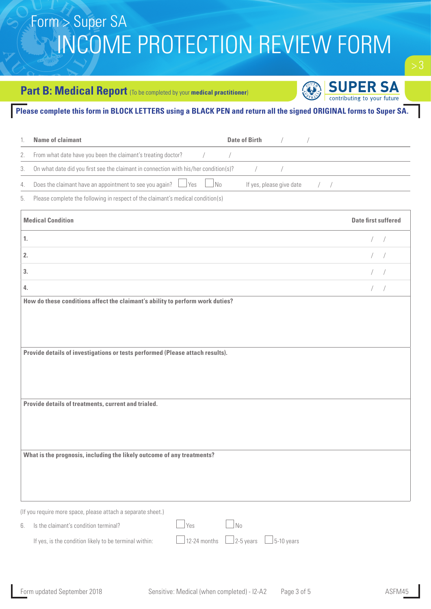### **Part B: Medical Report** (To be completed by your medical practitioner)



#### **Please complete this form in BLOCK LETTERS using a BLACK PEN and return all the signed ORIGINAL forms to Super SA.**

|    | <b>Name of claimant</b>                                                                              | <b>Date of Birth</b>                     |
|----|------------------------------------------------------------------------------------------------------|------------------------------------------|
| 2. | From what date have you been the claimant's treating doctor? / / / /                                 |                                          |
| 3. | On what date did you first see the claimant in connection with his/her condition(s)? $\frac{1}{2}$ / |                                          |
| 4. | Does the claimant have an appointment to see you again? $\Box$ Yes $\Box$ No                         | If yes, please give date $\frac{1}{2}$ / |
| 5. | Please complete the following in respect of the claimant's medical condition(s)                      |                                          |

| <b>Medical Condition</b>                                                      | <b>Date first suffered</b> |
|-------------------------------------------------------------------------------|----------------------------|
| 1.                                                                            | $/$ $/$                    |
| 2.                                                                            | $/$ /                      |
| 3.                                                                            | $/$ /                      |
| 4.                                                                            | $/$ /                      |
| How do these conditions affect the claimant's ability to perform work duties? |                            |
|                                                                               |                            |
|                                                                               |                            |
| Provide details of investigations or tests performed (Please attach results). |                            |
|                                                                               |                            |
|                                                                               |                            |
| Provide details of treatments, current and trialed.                           |                            |
|                                                                               |                            |
|                                                                               |                            |
| What is the prognosis, including the likely outcome of any treatments?        |                            |
|                                                                               |                            |
|                                                                               |                            |
|                                                                               |                            |

| (If you require more space, please attach a separate sheet.) |                                                                                                                                                                                                                                                                                                                    |  |  |
|--------------------------------------------------------------|--------------------------------------------------------------------------------------------------------------------------------------------------------------------------------------------------------------------------------------------------------------------------------------------------------------------|--|--|
| 6. Is the claimant's condition terminal?                     | $\sqrt{8}$ $\sqrt{8}$ $\sqrt{8}$ $\sqrt{8}$ $\sqrt{8}$ $\sqrt{8}$ $\sqrt{8}$ $\sqrt{8}$ $\sqrt{8}$ $\sqrt{8}$ $\sqrt{8}$ $\sqrt{8}$ $\sqrt{8}$ $\sqrt{8}$ $\sqrt{8}$ $\sqrt{8}$ $\sqrt{8}$ $\sqrt{8}$ $\sqrt{8}$ $\sqrt{8}$ $\sqrt{8}$ $\sqrt{8}$ $\sqrt{8}$ $\sqrt{8}$ $\sqrt{8}$ $\sqrt{8}$ $\sqrt{8}$ $\sqrt{8$ |  |  |
| If yes, is the condition likely to be terminal within:       | $\Box$ 12-24 months $\Box$ 2-5 years $\Box$ 5-10 years                                                                                                                                                                                                                                                             |  |  |

 $\mathbf{1}$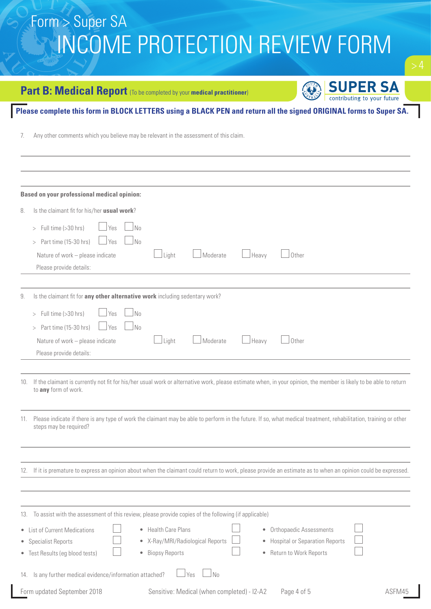## **Part B: Medical Report** (To be completed by your medical practitioner)

**SUPER SA**<br>contributing to your future

 $\mathbf{1}$ 

### **Please complete this form in BLOCK LETTERS using a BLACK PEN and return all the signed ORIGINAL forms to Super SA.**

7. Any other comments which you believe may be relevant in the assessment of this claim.

|     | <b>Based on your professional medical opinion:</b>                                                                                                                                                                                                                                                  |
|-----|-----------------------------------------------------------------------------------------------------------------------------------------------------------------------------------------------------------------------------------------------------------------------------------------------------|
| 8.  | Is the claimant fit for his/her usual work?                                                                                                                                                                                                                                                         |
|     | Full time (>30 hrs)<br>No<br>Yes<br>>                                                                                                                                                                                                                                                               |
|     | N <sub>o</sub><br>Part time (15-30 hrs)<br>Yes<br>>                                                                                                                                                                                                                                                 |
|     | Light<br>Moderate<br>Heavy<br>Other<br>Nature of work - please indicate<br>Please provide details:                                                                                                                                                                                                  |
| 9.  | Is the claimant fit for any other alternative work including sedentary work?                                                                                                                                                                                                                        |
|     | > Full time (>30 hrs)<br>No<br>Yes                                                                                                                                                                                                                                                                  |
|     | Part time (15-30 hrs)<br>No<br>Yes<br>>                                                                                                                                                                                                                                                             |
|     | $\perp$ Light<br>Moderate<br>Heavy<br>Other<br>Nature of work - please indicate                                                                                                                                                                                                                     |
|     | Please provide details:                                                                                                                                                                                                                                                                             |
|     |                                                                                                                                                                                                                                                                                                     |
|     | 10. If the claimant is currently not fit for his/her usual work or alternative work, please estimate when, in your opinion, the member is likely to be able to return<br>to any form of work.                                                                                                       |
| 11. | Please indicate if there is any type of work the claimant may be able to perform in the future. If so, what medical treatment, rehabilitation, training or other<br>steps may be required?                                                                                                          |
|     |                                                                                                                                                                                                                                                                                                     |
|     | 12. If it is premature to express an opinion about when the claimant could return to work, please provide an estimate as to when an opinion could be expressed.                                                                                                                                     |
|     |                                                                                                                                                                                                                                                                                                     |
| 13. | To assist with the assessment of this review, please provide copies of the following (if applicable)                                                                                                                                                                                                |
|     | <b>Health Care Plans</b><br>• Orthopaedic Assessments<br>• List of Current Medications<br>$\bullet$<br>X-Ray/MRI/Radiological Reports<br>• Hospital or Separation Reports<br>• Specialist Reports<br>۰<br><b>Biopsy Reports</b><br>• Return to Work Reports<br>• Test Results (eg blood tests)<br>۰ |
| 14. | Is any further medical evidence/information attached?<br>N <sub>0</sub><br>Yes                                                                                                                                                                                                                      |
|     | Sensitive: Medical (when completed) - I2-A2<br>Form updated September 2018<br>Page 4 of 5<br>ASFM45                                                                                                                                                                                                 |